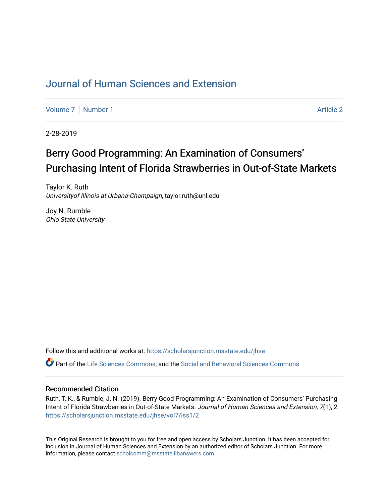## [Journal of Human Sciences and Extension](https://scholarsjunction.msstate.edu/jhse)

[Volume 7](https://scholarsjunction.msstate.edu/jhse/vol7) | [Number 1](https://scholarsjunction.msstate.edu/jhse/vol7/iss1) Article 2

2-28-2019

# Berry Good Programming: An Examination of Consumers' Purchasing Intent of Florida Strawberries in Out-of-State Markets

Taylor K. Ruth Universityof Illinois at Urbana-Champaign, taylor.ruth@unl.edu

Joy N. Rumble Ohio State University

Follow this and additional works at: [https://scholarsjunction.msstate.edu/jhse](https://scholarsjunction.msstate.edu/jhse?utm_source=scholarsjunction.msstate.edu%2Fjhse%2Fvol7%2Fiss1%2F2&utm_medium=PDF&utm_campaign=PDFCoverPages)

Part of the [Life Sciences Commons,](http://network.bepress.com/hgg/discipline/1016?utm_source=scholarsjunction.msstate.edu%2Fjhse%2Fvol7%2Fiss1%2F2&utm_medium=PDF&utm_campaign=PDFCoverPages) and the [Social and Behavioral Sciences Commons](http://network.bepress.com/hgg/discipline/316?utm_source=scholarsjunction.msstate.edu%2Fjhse%2Fvol7%2Fiss1%2F2&utm_medium=PDF&utm_campaign=PDFCoverPages)

#### Recommended Citation

Ruth, T. K., & Rumble, J. N. (2019). Berry Good Programming: An Examination of Consumers' Purchasing Intent of Florida Strawberries in Out-of-State Markets. Journal of Human Sciences and Extension, 7(1), 2. [https://scholarsjunction.msstate.edu/jhse/vol7/iss1/2](https://scholarsjunction.msstate.edu/jhse/vol7/iss1/2?utm_source=scholarsjunction.msstate.edu%2Fjhse%2Fvol7%2Fiss1%2F2&utm_medium=PDF&utm_campaign=PDFCoverPages)

This Original Research is brought to you for free and open access by Scholars Junction. It has been accepted for inclusion in Journal of Human Sciences and Extension by an authorized editor of Scholars Junction. For more information, please contact [scholcomm@msstate.libanswers.com](mailto:scholcomm@msstate.libanswers.com).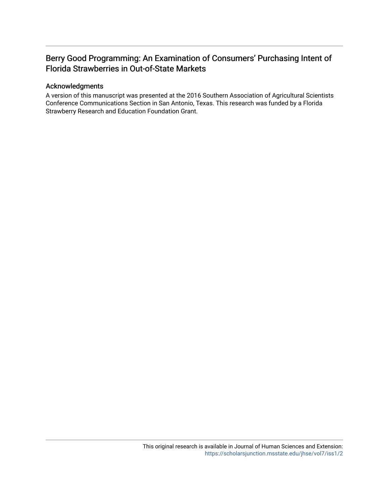## Berry Good Programming: An Examination of Consumers' Purchasing Intent of Florida Strawberries in Out-of-State Markets

#### Acknowledgments

A version of this manuscript was presented at the 2016 Southern Association of Agricultural Scientists Conference Communications Section in San Antonio, Texas. This research was funded by a Florida Strawberry Research and Education Foundation Grant.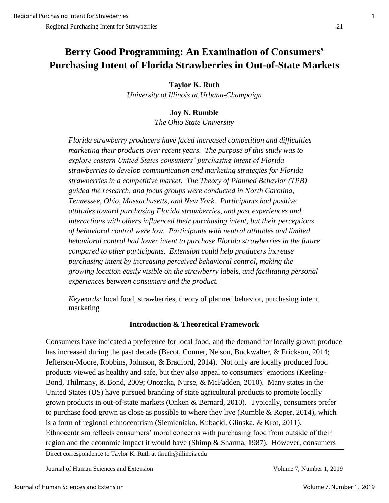# **Berry Good Programming: An Examination of Consumers' Purchasing Intent of Florida Strawberries in Out-of-State Markets**

## **Taylor K. Ruth**

*University of Illinois at Urbana-Champaign*

## **Joy N. Rumble**

*The Ohio State University*

*Florida strawberry producers have faced increased competition and difficulties marketing their products over recent years. The purpose of this study was to explore eastern United States consumers' purchasing intent of Florida strawberries to develop communication and marketing strategies for Florida strawberries in a competitive market. The Theory of Planned Behavior (TPB) guided the research, and focus groups were conducted in North Carolina, Tennessee, Ohio, Massachusetts, and New York. Participants had positive attitudes toward purchasing Florida strawberries, and past experiences and interactions with others influenced their purchasing intent, but their perceptions of behavioral control were low. Participants with neutral attitudes and limited behavioral control had lower intent to purchase Florida strawberries in the future compared to other participants. Extension could help producers increase purchasing intent by increasing perceived behavioral control, making the growing location easily visible on the strawberry labels, and facilitating personal experiences between consumers and the product.*

*Keywords:* local food, strawberries, theory of planned behavior, purchasing intent, marketing

## **Introduction & Theoretical Framework**

Consumers have indicated a preference for local food, and the demand for locally grown produce has increased during the past decade (Becot, Conner, Nelson, Buckwalter, & Erickson, 2014; Jefferson-Moore, Robbins, Johnson, & Bradford, 2014). Not only are locally produced food products viewed as healthy and safe, but they also appeal to consumers' emotions (Keeling-Bond, Thilmany, & Bond, 2009; Onozaka, Nurse, & McFadden, 2010). Many states in the United States (US) have pursued branding of state agricultural products to promote locally grown products in out-of-state markets (Onken & Bernard, 2010). Typically, consumers prefer to purchase food grown as close as possible to where they live (Rumble & Roper, 2014), which is a form of regional ethnocentrism (Siemieniako, Kubacki, Glinska, & Krot, 2011). Ethnocentrism reflects consumers' moral concerns with purchasing food from outside of their region and the economic impact it would have (Shimp & Sharma, 1987). However, consumers

Direct correspondence to Taylor K. Ruth at tkruth@illinois.edu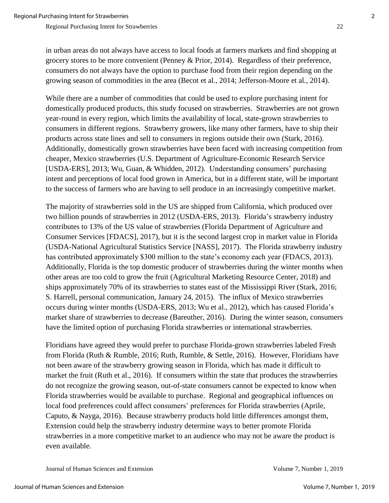in urban areas do not always have access to local foods at farmers markets and find shopping at grocery stores to be more convenient (Penney & Prior, 2014). Regardless of their preference, consumers do not always have the option to purchase food from their region depending on the growing season of commodities in the area (Becot et al., 2014; Jefferson-Moore et al., 2014).

While there are a number of commodities that could be used to explore purchasing intent for domestically produced products, this study focused on strawberries. Strawberries are not grown year-round in every region, which limits the availability of local, state-grown strawberries to consumers in different regions. Strawberry growers, like many other farmers, have to ship their products across state lines and sell to consumers in regions outside their own (Stark, 2016). Additionally, domestically grown strawberries have been faced with increasing competition from cheaper, Mexico strawberries (U.S. Department of Agriculture-Economic Research Service [USDA-ERS], 2013; Wu, Guan, & Whidden, 2012). Understanding consumers' purchasing intent and perceptions of local food grown in America, but in a different state, will be important to the success of farmers who are having to sell produce in an increasingly competitive market.

The majority of strawberries sold in the US are shipped from California, which produced over two billion pounds of strawberries in 2012 (USDA-ERS, 2013). Florida's strawberry industry contributes to 13% of the US value of strawberries (Florida Department of Agriculture and Consumer Services [FDACS], 2017), but it is the second largest crop in market value in Florida (USDA-National Agricultural Statistics Service [NASS], 2017). The Florida strawberry industry has contributed approximately \$300 million to the state's economy each year (FDACS, 2013). Additionally, Florida is the top domestic producer of strawberries during the winter months when other areas are too cold to grow the fruit (Agricultural Marketing Resource Center, 2018) and ships approximately 70% of its strawberries to states east of the Mississippi River (Stark, 2016; S. Harrell, personal communication, January 24, 2015). The influx of Mexico strawberries occurs during winter months (USDA-ERS, 2013; Wu et al., 2012), which has caused Florida's market share of strawberries to decrease (Bareuther, 2016). During the winter season, consumers have the limited option of purchasing Florida strawberries or international strawberries.

Floridians have agreed they would prefer to purchase Florida-grown strawberries labeled Fresh from Florida (Ruth & Rumble, 2016; Ruth, Rumble, & Settle, 2016). However, Floridians have not been aware of the strawberry growing season in Florida, which has made it difficult to market the fruit (Ruth et al., 2016). If consumers within the state that produces the strawberries do not recognize the growing season, out-of-state consumers cannot be expected to know when Florida strawberries would be available to purchase. Regional and geographical influences on local food preferences could affect consumers' preferences for Florida strawberries (Aprile, Caputo, & Nayga, 2016). Because strawberry products hold little differences amongst them, Extension could help the strawberry industry determine ways to better promote Florida strawberries in a more competitive market to an audience who may not be aware the product is even available.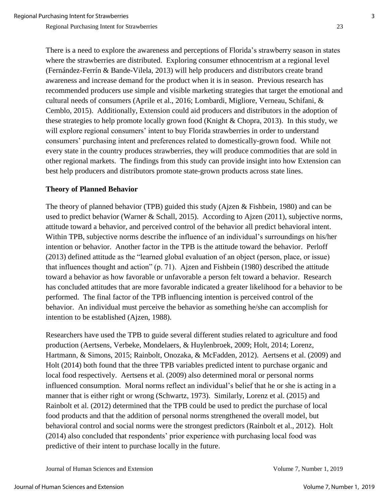There is a need to explore the awareness and perceptions of Florida's strawberry season in states where the strawberries are distributed. Exploring consumer ethnocentrism at a regional level (Fernández-Ferrín & Bande-Vilela, 2013) will help producers and distributors create brand awareness and increase demand for the product when it is in season. Previous research has recommended producers use simple and visible marketing strategies that target the emotional and cultural needs of consumers (Aprile et al., 2016; Lombardi, Migliore, Verneau, Schifani, & Cemblo, 2015). Additionally, Extension could aid producers and distributors in the adoption of these strategies to help promote locally grown food (Knight & Chopra, 2013). In this study, we will explore regional consumers' intent to buy Florida strawberries in order to understand consumers' purchasing intent and preferences related to domestically-grown food. While not every state in the country produces strawberries, they will produce commodities that are sold in other regional markets. The findings from this study can provide insight into how Extension can best help producers and distributors promote state-grown products across state lines.

#### **Theory of Planned Behavior**

The theory of planned behavior (TPB) guided this study (Ajzen & Fishbein, 1980) and can be used to predict behavior (Warner & Schall, 2015). According to Ajzen (2011), subjective norms, attitude toward a behavior, and perceived control of the behavior all predict behavioral intent. Within TPB, subjective norms describe the influence of an individual's surroundings on his/her intention or behavior. Another factor in the TPB is the attitude toward the behavior. Perloff (2013) defined attitude as the "learned global evaluation of an object (person, place, or issue) that influences thought and action" (p. 71). Ajzen and Fishbein (1980) described the attitude toward a behavior as how favorable or unfavorable a person felt toward a behavior. Research has concluded attitudes that are more favorable indicated a greater likelihood for a behavior to be performed. The final factor of the TPB influencing intention is perceived control of the behavior. An individual must perceive the behavior as something he/she can accomplish for intention to be established (Ajzen, 1988).

Researchers have used the TPB to guide several different studies related to agriculture and food production (Aertsens, Verbeke, Mondelaers, & Huylenbroek, 2009; Holt, 2014; Lorenz, Hartmann, & Simons, 2015; Rainbolt, Onozaka, & McFadden, 2012). Aertsens et al. (2009) and Holt (2014) both found that the three TPB variables predicted intent to purchase organic and local food respectively. Aertsens et al. (2009) also determined moral or personal norms influenced consumption. Moral norms reflect an individual's belief that he or she is acting in a manner that is either right or wrong (Schwartz, 1973). Similarly, Lorenz et al. (2015) and Rainbolt et al. (2012) determined that the TPB could be used to predict the purchase of local food products and that the addition of personal norms strengthened the overall model, but behavioral control and social norms were the strongest predictors (Rainbolt et al., 2012). Holt (2014) also concluded that respondents' prior experience with purchasing local food was predictive of their intent to purchase locally in the future.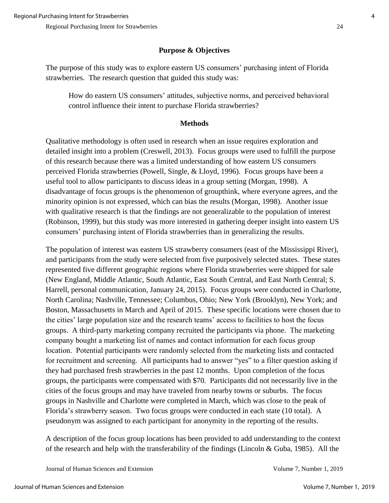## **Purpose & Objectives**

The purpose of this study was to explore eastern US consumers' purchasing intent of Florida strawberries. The research question that guided this study was:

How do eastern US consumers' attitudes, subjective norms, and perceived behavioral control influence their intent to purchase Florida strawberries?

### **Methods**

Qualitative methodology is often used in research when an issue requires exploration and detailed insight into a problem (Creswell, 2013). Focus groups were used to fulfill the purpose of this research because there was a limited understanding of how eastern US consumers perceived Florida strawberries (Powell, Single, & Lloyd, 1996). Focus groups have been a useful tool to allow participants to discuss ideas in a group setting (Morgan, 1998). A disadvantage of focus groups is the phenomenon of groupthink, where everyone agrees, and the minority opinion is not expressed, which can bias the results (Morgan, 1998). Another issue with qualitative research is that the findings are not generalizable to the population of interest (Robinson, 1999), but this study was more interested in gathering deeper insight into eastern US consumers' purchasing intent of Florida strawberries than in generalizing the results.

The population of interest was eastern US strawberry consumers (east of the Mississippi River), and participants from the study were selected from five purposively selected states. These states represented five different geographic regions where Florida strawberries were shipped for sale (New England, Middle Atlantic, South Atlantic, East South Central, and East North Central; S. Harrell, personal communication, January 24, 2015). Focus groups were conducted in Charlotte, North Carolina; Nashville, Tennessee; Columbus, Ohio; New York (Brooklyn), New York; and Boston, Massachusetts in March and April of 2015. These specific locations were chosen due to the cities' large population size and the research teams' access to facilities to host the focus groups. A third-party marketing company recruited the participants via phone. The marketing company bought a marketing list of names and contact information for each focus group location. Potential participants were randomly selected from the marketing lists and contacted for recruitment and screening. All participants had to answer "yes" to a filter question asking if they had purchased fresh strawberries in the past 12 months. Upon completion of the focus groups, the participants were compensated with \$70. Participants did not necessarily live in the cities of the focus groups and may have traveled from nearby towns or suburbs. The focus groups in Nashville and Charlotte were completed in March, which was close to the peak of Florida's strawberry season. Two focus groups were conducted in each state (10 total). A pseudonym was assigned to each participant for anonymity in the reporting of the results.

A description of the focus group locations has been provided to add understanding to the context of the research and help with the transferability of the findings (Lincoln & Guba, 1985). All the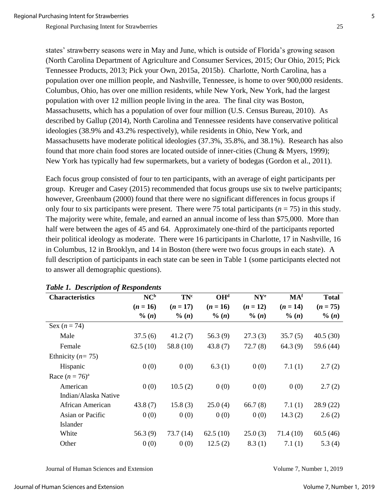states' strawberry seasons were in May and June, which is outside of Florida's growing season (North Carolina Department of Agriculture and Consumer Services, 2015; Our Ohio, 2015; Pick Tennessee Products, 2013; Pick your Own, 2015a, 2015b). Charlotte, North Carolina, has a population over one million people, and Nashville, Tennessee, is home to over 900,000 residents. Columbus, Ohio, has over one million residents, while New York, New York, had the largest population with over 12 million people living in the area. The final city was Boston, Massachusetts, which has a population of over four million (U.S. Census Bureau, 2010). As described by Gallup (2014), North Carolina and Tennessee residents have conservative political ideologies (38.9% and 43.2% respectively), while residents in Ohio, New York, and Massachusetts have moderate political ideologies (37.3%, 35.8%, and 38.1%). Research has also found that more chain food stores are located outside of inner-cities (Chung & Myers, 1999); New York has typically had few supermarkets, but a variety of bodegas (Gordon et al., 2011).

Each focus group consisted of four to ten participants, with an average of eight participants per group. Kreuger and Casey (2015) recommended that focus groups use six to twelve participants; however, Greenbaum (2000) found that there were no significant differences in focus groups if only four to six participants were present. There were 75 total participants  $(n = 75)$  in this study. The majority were white, female, and earned an annual income of less than \$75,000. More than half were between the ages of 45 and 64. Approximately one-third of the participants reported their political ideology as moderate. There were 16 participants in Charlotte, 17 in Nashville, 16 in Columbus, 12 in Brooklyn, and 14 in Boston (there were two focus groups in each state). A full description of participants in each state can be seen in Table 1 (some participants elected not to answer all demographic questions).

| <b>Characteristics</b> | NC <sup>b</sup> | <b>TN°</b> | OH <sup>d</sup> | $N Y^e$    | MA <sup>f</sup> | <b>Total</b> |
|------------------------|-----------------|------------|-----------------|------------|-----------------|--------------|
|                        | $(n = 16)$      | $(n = 17)$ | $(n = 16)$      | $(n = 12)$ | $(n = 14)$      | $(n = 75)$   |
|                        | $\%$ (n)        | $\%$ (n)   | $\%$ (n)        | $\%$ (n)   | $\%$ (n)        | $\% (n)$     |
| Sex $(n = 74)$         |                 |            |                 |            |                 |              |
| Male                   | 37.5(6)         | 41.2(7)    | 56.3 $(9)$      | 27.3(3)    | 35.7(5)         | 40.5(30)     |
| Female                 | 62.5(10)        | 58.8 (10)  | 43.8(7)         | 72.7(8)    | 64.3(9)         | 59.6 (44)    |
| Ethnicity ( $n = 75$ ) |                 |            |                 |            |                 |              |
| Hispanic               | 0(0)            | 0(0)       | 6.3(1)          | 0(0)       | 7.1(1)          | 2.7(2)       |
| Race $(n = 76)^a$      |                 |            |                 |            |                 |              |
| American               | 0(0)            | 10.5(2)    | 0(0)            | 0(0)       | 0(0)            | 2.7(2)       |
| Indian/Alaska Native   |                 |            |                 |            |                 |              |
| African American       | 43.8(7)         | 15.8(3)    | 25.0(4)         | 66.7(8)    | 7.1(1)          | 28.9(22)     |
| Asian or Pacific       | 0(0)            | 0(0)       | 0(0)            | 0(0)       | 14.3(2)         | 2.6(2)       |
| Islander               |                 |            |                 |            |                 |              |
| White                  | 56.3(9)         | 73.7(14)   | 62.5(10)        | 25.0(3)    | 71.4(10)        | 60.5(46)     |
| Other                  | 0(0)            | 0(0)       | 12.5(2)         | 8.3(1)     | 7.1(1)          | 5.3(4)       |

#### *Table 1. Description of Respondents*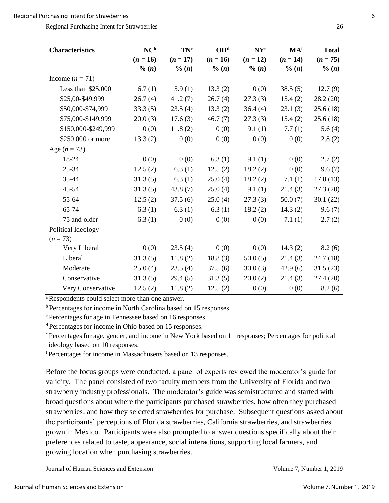Regional Purchasing Intent for Strawberries 26

| <b>Characteristics</b> | $\overline{\text{NC}^{\text{b}}}$ | TN <sup>c</sup> | OH <sub>q</sub> | $N Y^e$    | MA <sup>f</sup> | <b>Total</b> |
|------------------------|-----------------------------------|-----------------|-----------------|------------|-----------------|--------------|
|                        | $(n = 16)$                        | $(n = 17)$      | $(n = 16)$      | $(n = 12)$ | $(n = 14)$      | $(n = 75)$   |
|                        | % (n)                             | % (n)           | % (n)           | % (n)      | % (n)           | $\% (n)$     |
| Income $(n = 71)$      |                                   |                 |                 |            |                 |              |
| Less than $$25,000$    | 6.7(1)                            | 5.9(1)          | 13.3(2)         | 0(0)       | 38.5(5)         | 12.7(9)      |
| \$25,00-\$49,999       | 26.7(4)                           | 41.2(7)         | 26.7(4)         | 27.3(3)    | 15.4(2)         | 28.2(20)     |
| \$50,000-\$74,999      | 33.3(5)                           | 23.5(4)         | 13.3(2)         | 36.4(4)    | 23.1(3)         | 25.6(18)     |
| \$75,000-\$149,999     | 20.0(3)                           | 17.6(3)         | 46.7(7)         | 27.3(3)    | 15.4(2)         | 25.6(18)     |
| \$150,000-\$249,999    | 0(0)                              | 11.8(2)         | 0(0)            | 9.1(1)     | 7.7(1)          | 5.6(4)       |
| \$250,000 or more      | 13.3(2)                           | 0(0)            | 0(0)            | 0(0)       | 0(0)            | 2.8(2)       |
| Age $(n = 73)$         |                                   |                 |                 |            |                 |              |
| 18-24                  | 0(0)                              | 0(0)            | 6.3(1)          | 9.1(1)     | 0(0)            | 2.7(2)       |
| 25-34                  | 12.5(2)                           | 6.3(1)          | 12.5(2)         | 18.2(2)    | 0(0)            | 9.6(7)       |
| 35-44                  | 31.3(5)                           | 6.3(1)          | 25.0(4)         | 18.2(2)    | 7.1(1)          | 17.8(13)     |
| 45-54                  | 31.3(5)                           | 43.8(7)         | 25.0(4)         | 9.1(1)     | 21.4(3)         | 27.3(20)     |
| 55-64                  | 12.5(2)                           | 37.5(6)         | 25.0(4)         | 27.3(3)    | 50.0(7)         | 30.1(22)     |
| 65-74                  | 6.3(1)                            | 6.3(1)          | 6.3(1)          | 18.2(2)    | 14.3(2)         | 9.6(7)       |
| 75 and older           | 6.3(1)                            | 0(0)            | 0(0)            | 0(0)       | 7.1(1)          | 2.7(2)       |
| Political Ideology     |                                   |                 |                 |            |                 |              |
| $(n=73)$               |                                   |                 |                 |            |                 |              |
| Very Liberal           | 0(0)                              | 23.5(4)         | 0(0)            | 0(0)       | 14.3(2)         | 8.2(6)       |
| Liberal                | 31.3(5)                           | 11.8(2)         | 18.8(3)         | 50.0(5)    | 21.4(3)         | 24.7(18)     |
| Moderate               | 25.0(4)                           | 23.5(4)         | 37.5(6)         | 30.0(3)    | 42.9(6)         | 31.5(23)     |
| Conservative           | 31.3(5)                           | 29.4(5)         | 31.3(5)         | 20.0(2)    | 21.4(3)         | 27.4(20)     |
| Very Conservative      | 12.5(2)                           | 11.8(2)         | 12.5(2)         | 0(0)       | 0(0)            | 8.2(6)       |

a Respondents could select more than one answer.

<sup>b</sup> Percentages for income in North Carolina based on 15 responses.

<sup>c</sup> Percentages for age in Tennessee based on 16 responses.

<sup>d</sup> Percentagesfor income in Ohio based on 15 responses.

<sup>e</sup> Percentages for age, gender, and income in New York based on 11 responses; Percentages for political ideology based on 10 responses.

<sup>f</sup> Percentagesfor income in Massachusetts based on 13 responses.

Before the focus groups were conducted, a panel of experts reviewed the moderator's guide for validity. The panel consisted of two faculty members from the University of Florida and two strawberry industry professionals. The moderator's guide was semistructured and started with broad questions about where the participants purchased strawberries, how often they purchased strawberries, and how they selected strawberries for purchase. Subsequent questions asked about the participants' perceptions of Florida strawberries, California strawberries, and strawberries grown in Mexico. Participants were also prompted to answer questions specifically about their preferences related to taste, appearance, social interactions, supporting local farmers, and growing location when purchasing strawberries.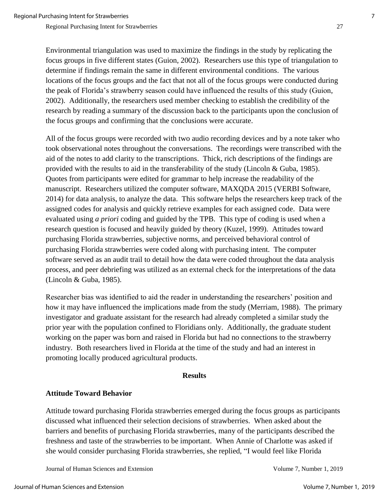Environmental triangulation was used to maximize the findings in the study by replicating the focus groups in five different states (Guion, 2002). Researchers use this type of triangulation to determine if findings remain the same in different environmental conditions. The various locations of the focus groups and the fact that not all of the focus groups were conducted during the peak of Florida's strawberry season could have influenced the results of this study (Guion, 2002). Additionally, the researchers used member checking to establish the credibility of the research by reading a summary of the discussion back to the participants upon the conclusion of

All of the focus groups were recorded with two audio recording devices and by a note taker who took observational notes throughout the conversations. The recordings were transcribed with the aid of the notes to add clarity to the transcriptions. Thick, rich descriptions of the findings are provided with the results to aid in the transferability of the study (Lincoln & Guba, 1985). Quotes from participants were edited for grammar to help increase the readability of the manuscript. Researchers utilized the computer software, MAXQDA 2015 (VERBI Software, 2014) for data analysis, to analyze the data. This software helps the researchers keep track of the assigned codes for analysis and quickly retrieve examples for each assigned code. Data were evaluated using *a priori* coding and guided by the TPB. This type of coding is used when a research question is focused and heavily guided by theory (Kuzel, 1999). Attitudes toward purchasing Florida strawberries, subjective norms, and perceived behavioral control of purchasing Florida strawberries were coded along with purchasing intent. The computer software served as an audit trail to detail how the data were coded throughout the data analysis process, and peer debriefing was utilized as an external check for the interpretations of the data (Lincoln & Guba, 1985).

the focus groups and confirming that the conclusions were accurate.

Researcher bias was identified to aid the reader in understanding the researchers' position and how it may have influenced the implications made from the study (Merriam, 1988). The primary investigator and graduate assistant for the research had already completed a similar study the prior year with the population confined to Floridians only. Additionally, the graduate student working on the paper was born and raised in Florida but had no connections to the strawberry industry. Both researchers lived in Florida at the time of the study and had an interest in promoting locally produced agricultural products.

#### **Results**

#### **Attitude Toward Behavior**

Attitude toward purchasing Florida strawberries emerged during the focus groups as participants discussed what influenced their selection decisions of strawberries. When asked about the barriers and benefits of purchasing Florida strawberries, many of the participants described the freshness and taste of the strawberries to be important. When Annie of Charlotte was asked if she would consider purchasing Florida strawberries, she replied, "I would feel like Florida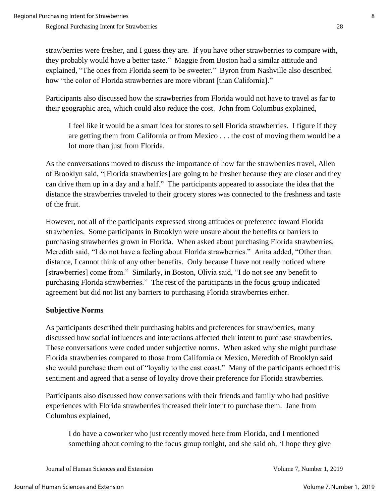strawberries were fresher, and I guess they are. If you have other strawberries to compare with, they probably would have a better taste." Maggie from Boston had a similar attitude and explained, "The ones from Florida seem to be sweeter." Byron from Nashville also described how "the color of Florida strawberries are more vibrant [than California]."

Participants also discussed how the strawberries from Florida would not have to travel as far to their geographic area, which could also reduce the cost. John from Columbus explained,

I feel like it would be a smart idea for stores to sell Florida strawberries. I figure if they are getting them from California or from Mexico . . . the cost of moving them would be a lot more than just from Florida.

As the conversations moved to discuss the importance of how far the strawberries travel, Allen of Brooklyn said, "[Florida strawberries] are going to be fresher because they are closer and they can drive them up in a day and a half." The participants appeared to associate the idea that the distance the strawberries traveled to their grocery stores was connected to the freshness and taste of the fruit.

However, not all of the participants expressed strong attitudes or preference toward Florida strawberries. Some participants in Brooklyn were unsure about the benefits or barriers to purchasing strawberries grown in Florida. When asked about purchasing Florida strawberries, Meredith said, "I do not have a feeling about Florida strawberries." Anita added, "Other than distance, I cannot think of any other benefits. Only because I have not really noticed where [strawberries] come from." Similarly, in Boston, Olivia said, "I do not see any benefit to purchasing Florida strawberries." The rest of the participants in the focus group indicated agreement but did not list any barriers to purchasing Florida strawberries either.

### **Subjective Norms**

As participants described their purchasing habits and preferences for strawberries, many discussed how social influences and interactions affected their intent to purchase strawberries. These conversations were coded under subjective norms. When asked why she might purchase Florida strawberries compared to those from California or Mexico, Meredith of Brooklyn said she would purchase them out of "loyalty to the east coast." Many of the participants echoed this sentiment and agreed that a sense of loyalty drove their preference for Florida strawberries.

Participants also discussed how conversations with their friends and family who had positive experiences with Florida strawberries increased their intent to purchase them. Jane from Columbus explained,

I do have a coworker who just recently moved here from Florida, and I mentioned something about coming to the focus group tonight, and she said oh, 'I hope they give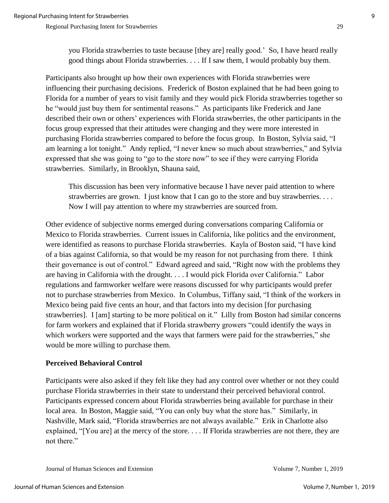you Florida strawberries to taste because [they are] really good.' So, I have heard really good things about Florida strawberries. . . . If I saw them, I would probably buy them.

Participants also brought up how their own experiences with Florida strawberries were influencing their purchasing decisions. Frederick of Boston explained that he had been going to Florida for a number of years to visit family and they would pick Florida strawberries together so he "would just buy them for sentimental reasons." As participants like Frederick and Jane described their own or others' experiences with Florida strawberries, the other participants in the focus group expressed that their attitudes were changing and they were more interested in purchasing Florida strawberries compared to before the focus group. In Boston, Sylvia said, "I am learning a lot tonight." Andy replied, "I never knew so much about strawberries," and Sylvia expressed that she was going to "go to the store now" to see if they were carrying Florida strawberries. Similarly, in Brooklyn, Shauna said,

This discussion has been very informative because I have never paid attention to where strawberries are grown. I just know that I can go to the store and buy strawberries. . . . Now I will pay attention to where my strawberries are sourced from.

Other evidence of subjective norms emerged during conversations comparing California or Mexico to Florida strawberries. Current issues in California, like politics and the environment, were identified as reasons to purchase Florida strawberries. Kayla of Boston said, "I have kind of a bias against California, so that would be my reason for not purchasing from there. I think their governance is out of control." Edward agreed and said, "Right now with the problems they are having in California with the drought. . . . I would pick Florida over California." Labor regulations and farmworker welfare were reasons discussed for why participants would prefer not to purchase strawberries from Mexico. In Columbus, Tiffany said, "I think of the workers in Mexico being paid five cents an hour, and that factors into my decision [for purchasing strawberries]. I [am] starting to be more political on it." Lilly from Boston had similar concerns for farm workers and explained that if Florida strawberry growers "could identify the ways in which workers were supported and the ways that farmers were paid for the strawberries," she would be more willing to purchase them.

### **Perceived Behavioral Control**

Participants were also asked if they felt like they had any control over whether or not they could purchase Florida strawberries in their state to understand their perceived behavioral control. Participants expressed concern about Florida strawberries being available for purchase in their local area. In Boston, Maggie said, "You can only buy what the store has." Similarly, in Nashville, Mark said, "Florida strawberries are not always available." Erik in Charlotte also explained, "[You are] at the mercy of the store. . . . If Florida strawberries are not there, they are not there."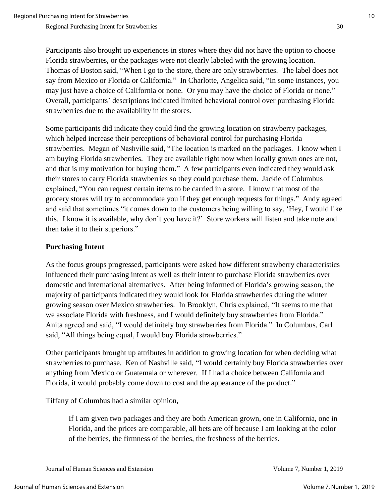Participants also brought up experiences in stores where they did not have the option to choose Florida strawberries, or the packages were not clearly labeled with the growing location. Thomas of Boston said, "When I go to the store, there are only strawberries. The label does not say from Mexico or Florida or California." In Charlotte, Angelica said, "In some instances, you may just have a choice of California or none. Or you may have the choice of Florida or none." Overall, participants' descriptions indicated limited behavioral control over purchasing Florida strawberries due to the availability in the stores.

Some participants did indicate they could find the growing location on strawberry packages, which helped increase their perceptions of behavioral control for purchasing Florida strawberries. Megan of Nashville said, "The location is marked on the packages. I know when I am buying Florida strawberries. They are available right now when locally grown ones are not, and that is my motivation for buying them." A few participants even indicated they would ask their stores to carry Florida strawberries so they could purchase them. Jackie of Columbus explained, "You can request certain items to be carried in a store. I know that most of the grocery stores will try to accommodate you if they get enough requests for things." Andy agreed and said that sometimes "it comes down to the customers being willing to say, 'Hey, I would like this. I know it is available, why don't you have it?' Store workers will listen and take note and then take it to their superiors."

## **Purchasing Intent**

As the focus groups progressed, participants were asked how different strawberry characteristics influenced their purchasing intent as well as their intent to purchase Florida strawberries over domestic and international alternatives. After being informed of Florida's growing season, the majority of participants indicated they would look for Florida strawberries during the winter growing season over Mexico strawberries. In Brooklyn, Chris explained, "It seems to me that we associate Florida with freshness, and I would definitely buy strawberries from Florida." Anita agreed and said, "I would definitely buy strawberries from Florida." In Columbus, Carl said, "All things being equal, I would buy Florida strawberries."

Other participants brought up attributes in addition to growing location for when deciding what strawberries to purchase. Ken of Nashville said, "I would certainly buy Florida strawberries over anything from Mexico or Guatemala or wherever. If I had a choice between California and Florida, it would probably come down to cost and the appearance of the product."

Tiffany of Columbus had a similar opinion,

If I am given two packages and they are both American grown, one in California, one in Florida, and the prices are comparable, all bets are off because I am looking at the color of the berries, the firmness of the berries, the freshness of the berries.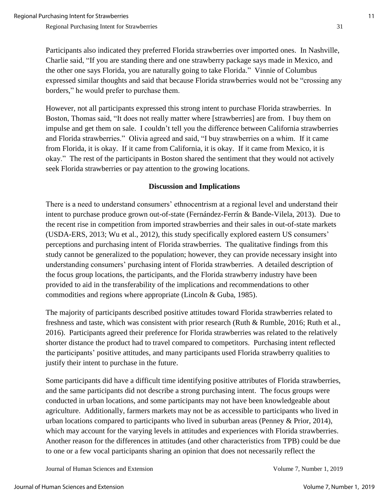Participants also indicated they preferred Florida strawberries over imported ones. In Nashville, Charlie said, "If you are standing there and one strawberry package says made in Mexico, and the other one says Florida, you are naturally going to take Florida." Vinnie of Columbus expressed similar thoughts and said that because Florida strawberries would not be "crossing any borders," he would prefer to purchase them.

However, not all participants expressed this strong intent to purchase Florida strawberries. In Boston, Thomas said, "It does not really matter where [strawberries] are from. I buy them on impulse and get them on sale. I couldn't tell you the difference between California strawberries and Florida strawberries." Olivia agreed and said, "I buy strawberries on a whim. If it came from Florida, it is okay. If it came from California, it is okay. If it came from Mexico, it is okay." The rest of the participants in Boston shared the sentiment that they would not actively seek Florida strawberries or pay attention to the growing locations.

### **Discussion and Implications**

There is a need to understand consumers' ethnocentrism at a regional level and understand their intent to purchase produce grown out-of-state (Fernández-Ferrín & Bande-Vilela, 2013). Due to the recent rise in competition from imported strawberries and their sales in out-of-state markets (USDA-ERS, 2013; Wu et al., 2012), this study specifically explored eastern US consumers' perceptions and purchasing intent of Florida strawberries. The qualitative findings from this study cannot be generalized to the population; however, they can provide necessary insight into understanding consumers' purchasing intent of Florida strawberries. A detailed description of the focus group locations, the participants, and the Florida strawberry industry have been provided to aid in the transferability of the implications and recommendations to other commodities and regions where appropriate (Lincoln & Guba, 1985).

The majority of participants described positive attitudes toward Florida strawberries related to freshness and taste, which was consistent with prior research (Ruth & Rumble, 2016; Ruth et al., 2016). Participants agreed their preference for Florida strawberries was related to the relatively shorter distance the product had to travel compared to competitors. Purchasing intent reflected the participants' positive attitudes, and many participants used Florida strawberry qualities to justify their intent to purchase in the future.

Some participants did have a difficult time identifying positive attributes of Florida strawberries, and the same participants did not describe a strong purchasing intent. The focus groups were conducted in urban locations, and some participants may not have been knowledgeable about agriculture. Additionally, farmers markets may not be as accessible to participants who lived in urban locations compared to participants who lived in suburban areas (Penney & Prior, 2014), which may account for the varying levels in attitudes and experiences with Florida strawberries. Another reason for the differences in attitudes (and other characteristics from TPB) could be due to one or a few vocal participants sharing an opinion that does not necessarily reflect the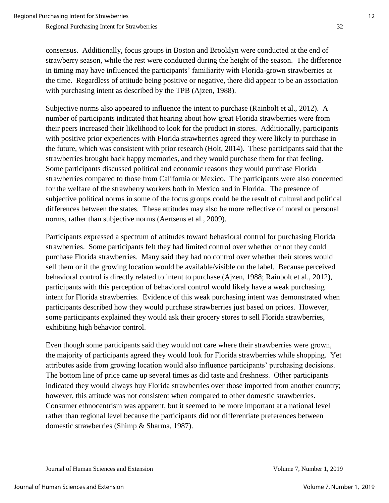consensus. Additionally, focus groups in Boston and Brooklyn were conducted at the end of strawberry season, while the rest were conducted during the height of the season. The difference in timing may have influenced the participants' familiarity with Florida-grown strawberries at the time. Regardless of attitude being positive or negative, there did appear to be an association with purchasing intent as described by the TPB (Ajzen, 1988).

Subjective norms also appeared to influence the intent to purchase (Rainbolt et al., 2012). A number of participants indicated that hearing about how great Florida strawberries were from their peers increased their likelihood to look for the product in stores. Additionally, participants with positive prior experiences with Florida strawberries agreed they were likely to purchase in the future, which was consistent with prior research (Holt, 2014). These participants said that the strawberries brought back happy memories, and they would purchase them for that feeling. Some participants discussed political and economic reasons they would purchase Florida strawberries compared to those from California or Mexico. The participants were also concerned for the welfare of the strawberry workers both in Mexico and in Florida. The presence of subjective political norms in some of the focus groups could be the result of cultural and political differences between the states. These attitudes may also be more reflective of moral or personal norms, rather than subjective norms (Aertsens et al., 2009).

Participants expressed a spectrum of attitudes toward behavioral control for purchasing Florida strawberries. Some participants felt they had limited control over whether or not they could purchase Florida strawberries. Many said they had no control over whether their stores would sell them or if the growing location would be available/visible on the label. Because perceived behavioral control is directly related to intent to purchase (Ajzen, 1988; Rainbolt et al., 2012), participants with this perception of behavioral control would likely have a weak purchasing intent for Florida strawberries. Evidence of this weak purchasing intent was demonstrated when participants described how they would purchase strawberries just based on prices. However, some participants explained they would ask their grocery stores to sell Florida strawberries, exhibiting high behavior control.

Even though some participants said they would not care where their strawberries were grown, the majority of participants agreed they would look for Florida strawberries while shopping. Yet attributes aside from growing location would also influence participants' purchasing decisions. The bottom line of price came up several times as did taste and freshness. Other participants indicated they would always buy Florida strawberries over those imported from another country; however, this attitude was not consistent when compared to other domestic strawberries. Consumer ethnocentrism was apparent, but it seemed to be more important at a national level rather than regional level because the participants did not differentiate preferences between domestic strawberries (Shimp & Sharma, 1987).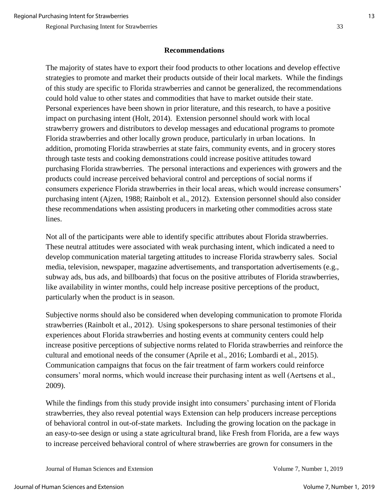### **Recommendations**

The majority of states have to export their food products to other locations and develop effective strategies to promote and market their products outside of their local markets. While the findings of this study are specific to Florida strawberries and cannot be generalized, the recommendations could hold value to other states and commodities that have to market outside their state. Personal experiences have been shown in prior literature, and this research, to have a positive impact on purchasing intent (Holt, 2014). Extension personnel should work with local strawberry growers and distributors to develop messages and educational programs to promote Florida strawberries and other locally grown produce, particularly in urban locations. In addition, promoting Florida strawberries at state fairs, community events, and in grocery stores through taste tests and cooking demonstrations could increase positive attitudes toward purchasing Florida strawberries. The personal interactions and experiences with growers and the products could increase perceived behavioral control and perceptions of social norms if consumers experience Florida strawberries in their local areas, which would increase consumers' purchasing intent (Ajzen, 1988; Rainbolt et al., 2012). Extension personnel should also consider these recommendations when assisting producers in marketing other commodities across state lines.

Not all of the participants were able to identify specific attributes about Florida strawberries. These neutral attitudes were associated with weak purchasing intent, which indicated a need to develop communication material targeting attitudes to increase Florida strawberry sales. Social media, television, newspaper, magazine advertisements, and transportation advertisements (e.g., subway ads, bus ads, and billboards) that focus on the positive attributes of Florida strawberries, like availability in winter months, could help increase positive perceptions of the product, particularly when the product is in season.

Subjective norms should also be considered when developing communication to promote Florida strawberries (Rainbolt et al., 2012). Using spokespersons to share personal testimonies of their experiences about Florida strawberries and hosting events at community centers could help increase positive perceptions of subjective norms related to Florida strawberries and reinforce the cultural and emotional needs of the consumer (Aprile et al., 2016; Lombardi et al., 2015). Communication campaigns that focus on the fair treatment of farm workers could reinforce consumers' moral norms, which would increase their purchasing intent as well (Aertsens et al., 2009).

While the findings from this study provide insight into consumers' purchasing intent of Florida strawberries, they also reveal potential ways Extension can help producers increase perceptions of behavioral control in out-of-state markets. Including the growing location on the package in an easy-to-see design or using a state agricultural brand, like Fresh from Florida, are a few ways to increase perceived behavioral control of where strawberries are grown for consumers in the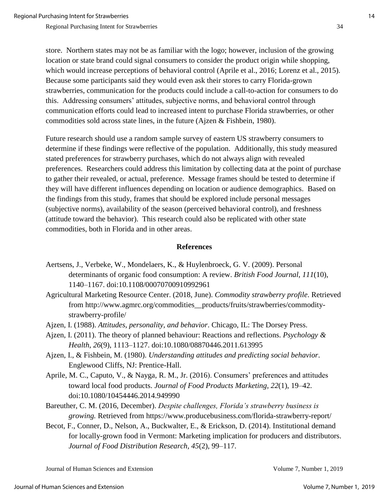store. Northern states may not be as familiar with the logo; however, inclusion of the growing location or state brand could signal consumers to consider the product origin while shopping, which would increase perceptions of behavioral control (Aprile et al., 2016; Lorenz et al., 2015). Because some participants said they would even ask their stores to carry Florida-grown strawberries, communication for the products could include a call-to-action for consumers to do this. Addressing consumers' attitudes, subjective norms, and behavioral control through communication efforts could lead to increased intent to purchase Florida strawberries, or other commodities sold across state lines, in the future (Ajzen & Fishbein, 1980).

Future research should use a random sample survey of eastern US strawberry consumers to determine if these findings were reflective of the population. Additionally, this study measured stated preferences for strawberry purchases, which do not always align with revealed preferences. Researchers could address this limitation by collecting data at the point of purchase to gather their revealed, or actual, preference. Message frames should be tested to determine if they will have different influences depending on location or audience demographics. Based on the findings from this study, frames that should be explored include personal messages (subjective norms), availability of the season (perceived behavioral control), and freshness (attitude toward the behavior). This research could also be replicated with other state commodities, both in Florida and in other areas.

#### **References**

- Aertsens, J., Verbeke, W., Mondelaers, K., & Huylenbroeck, G. V. (2009). Personal determinants of organic food consumption: A review. *British Food Journal*, *111*(10), 1140–1167. doi:10.1108/00070700910992961
- Agricultural Marketing Resource Center. (2018, June). *Commodity strawberry profile*. Retrieved from http://www.agmrc.org/commodities\_\_products/fruits/strawberries/commoditystrawberry-profile/
- Ajzen, I. (1988). *Attitudes, personality, and behavior*. Chicago, IL: The Dorsey Press.
- Ajzen, I. (2011). The theory of planned behaviour: Reactions and reflections. *Psychology & Health*, *26*(9), 1113–1127. doi:10.1080/08870446.2011.613995
- Ajzen, I., & Fishbein, M. (1980). *Understanding attitudes and predicting social behavior*. Englewood Cliffs, NJ: Prentice-Hall.
- Aprile, M. C., Caputo, V., & Nayga, R. M., Jr. (2016). Consumers' preferences and attitudes toward local food products. *Journal of Food Products Marketing*, *22*(1), 19–42. doi:10.1080/10454446.2014.949990
- Bareuther, C. M. (2016, December). *Despite challenges, Florida's strawberry business is growing.* Retrieved from https://www.producebusiness.com/florida-strawberry-report/
- Becot, F., Conner, D., Nelson, A., Buckwalter, E., & Erickson, D. (2014). Institutional demand for locally-grown food in Vermont: Marketing implication for producers and distributors. *Journal of Food Distribution Research, 45*(2), 99–117.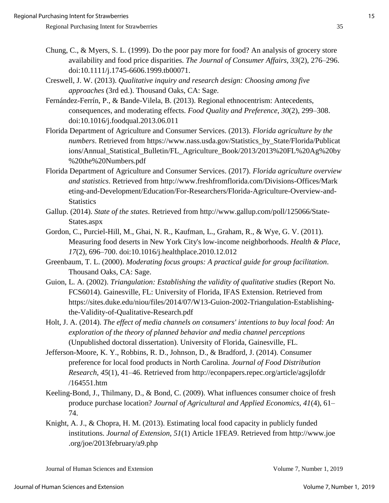- Chung, C., & Myers, S. L. (1999). Do the poor pay more for food? An analysis of grocery store availability and food price disparities. *The Journal of Consumer Affairs, 33*(2), 276–296. doi:10.1111/j.1745-6606.1999.tb00071.
- Creswell, J. W. (2013). *Qualitative inquiry and research design: Choosing among five approaches* (3rd ed.). Thousand Oaks, CA: Sage.
- Fernández-Ferrín, P., & Bande-Vilela, B. (2013). Regional ethnocentrism: Antecedents, consequences, and moderating effects. *Food Quality and Preference*, *30*(2), 299–308. doi:10.1016/j.foodqual.2013.06.011
- Florida Department of Agriculture and Consumer Services. (2013). *Florida agriculture by the numbers*. Retrieved from https://www.nass.usda.gov/Statistics\_by\_State/Florida/Publicat ions/Annual\_Statistical\_Bulletin/FL\_Agriculture\_Book/2013/2013%20FL%20Ag%20by %20the%20Numbers.pdf
- Florida Department of Agriculture and Consumer Services. (2017). *Florida agriculture overview and statistics*. Retrieved from http://www.freshfromflorida.com/Divisions-Offices/Mark eting-and-Development/Education/For-Researchers/Florida-Agriculture-Overview-and-**Statistics**
- Gallup. (2014). *State of the states*. Retrieved from http://www.gallup.com/poll/125066/State-States.aspx
- Gordon, C., Purciel-Hill, M., Ghai, N. R., Kaufman, L., Graham, R., & Wye, G. V. (2011). Measuring food deserts in New York City's low-income neighborhoods. *Health & Place*, *17*(2), 696–700. doi:10.1016/j.healthplace.2010.12.012
- Greenbaum, T. L. (2000). *Moderating focus groups: A practical guide for group facilitation*. Thousand Oaks, CA: Sage.
- Guion, L. A. (2002). *Triangulation: Establishing the validity of qualitative studies* (Report No. FCS6014). Gainesville, FL: University of Florida, IFAS Extension. Retrieved from https://sites.duke.edu/niou/files/2014/07/W13-Guion-2002-Triangulation-Establishingthe-Validity-of-Qualitative-Research.pdf
- Holt, J. A. (2014). *The effect of media channels on consumers' intentions to buy local food: An exploration of the theory of planned behavior and media channel perceptions* (Unpublished doctoral dissertation). University of Florida, Gainesville, FL.
- Jefferson-Moore, K. Y., Robbins, R. D., Johnson, D., & Bradford, J. (2014). Consumer preference for local food products in North Carolina. *Journal of Food Distribution Research, 45*(1), 41–46. Retrieved from http://econpapers.repec.org/article/agsjlofdr /164551.htm
- Keeling-Bond, J., Thilmany, D., & Bond, C. (2009). What influences consumer choice of fresh produce purchase location? *Journal of Agricultural and Applied Economics, 41*(4), 61– 74.
- Knight, A. J., & Chopra, H. M. (2013). Estimating local food capacity in publicly funded institutions. *Journal of Extension, 51*(1) Article 1FEA9. Retrieved from http://www.joe .org/joe/2013february/a9.php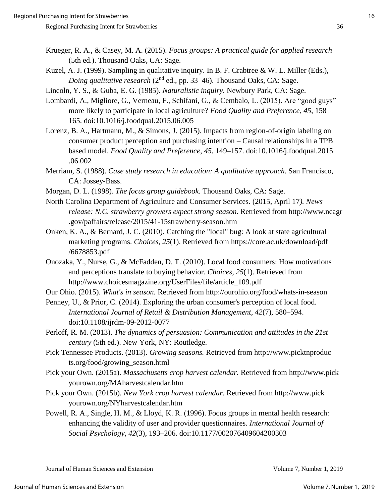- Krueger, R. A., & Casey, M. A. (2015). *Focus groups: A practical guide for applied research* (5th ed.). Thousand Oaks, CA: Sage.
- Kuzel, A. J. (1999). Sampling in qualitative inquiry. In B. F. Crabtree & W. L. Miller (Eds.), *Doing qualitative research* (2<sup>nd</sup> ed., pp. 33–46). Thousand Oaks, CA: Sage.
- Lincoln, Y. S., & Guba, E. G. (1985). *Naturalistic inquiry*. Newbury Park, CA: Sage.
- Lombardi, A., Migliore, G., Verneau, F., Schifani, G., & Cembalo, L. (2015). Are "good guys" more likely to participate in local agriculture? *Food Quality and Preference*, *45*, 158– 165. doi:10.1016/j.foodqual.2015.06.005
- Lorenz, B. A., Hartmann, M., & Simons, J. (2015). Impacts from region-of-origin labeling on consumer product perception and purchasing intention – Causal relationships in a TPB based model. *Food Quality and Preference*, *45*, 149–157. doi:10.1016/j.foodqual.2015 .06.002
- Merriam, S. (1988). *Case study research in education: A qualitative approach*. San Francisco, CA: Jossey-Bass.
- Morgan, D. L. (1998). *The focus group guidebook*. Thousand Oaks, CA: Sage.
- North Carolina Department of Agriculture and Consumer Services. (2015, April 17*). News release: N.C. strawberry growers expect strong season.* Retrieved from http://www.ncagr .gov/paffairs/release/2015/41-15strawberry-season.htm
- Onken, K. A., & Bernard, J. C. (2010). Catching the "local" bug: A look at state agricultural marketing programs. *Choices*, *25*(1). Retrieved from https://core.ac.uk/download/pdf /6678853.pdf
- Onozaka, Y., Nurse, G., & McFadden, D. T. (2010). Local food consumers: How motivations and perceptions translate to buying behavior. *Choices, 25*(1). Retrieved from http://www.choicesmagazine.org/UserFiles/file/article\_109.pdf

Our Ohio. (2015). *What's in season.* Retrieved from http://ourohio.org/food/whats-in-season

- Penney, U., & Prior, C. (2014). Exploring the urban consumer's perception of local food. *International Journal of Retail & Distribution Management*, *42*(7), 580–594. doi:10.1108/ijrdm-09-2012-0077
- Perloff, R. M. (2013). *The dynamics of persuasion: Communication and attitudes in the 21st century* (5th ed.). New York, NY: Routledge.
- Pick Tennessee Products. (2013). *Growing seasons.* Retrieved from http://www.picktnproduc ts.org/food/growing\_season.html
- Pick your Own. (2015a). *Massachusetts crop harvest calendar.* Retrieved from http://www.pick yourown.org/MAharvestcalendar.htm
- Pick your Own. (2015b). *New York crop harvest calendar*. Retrieved from http://www.pick yourown.org/NYharvestcalendar.htm
- Powell, R. A., Single, H. M., & Lloyd, K. R. (1996). Focus groups in mental health research: enhancing the validity of user and provider questionnaires. *International Journal of Social Psychology, 42*(3), 193–206. doi:10.1177/002076409604200303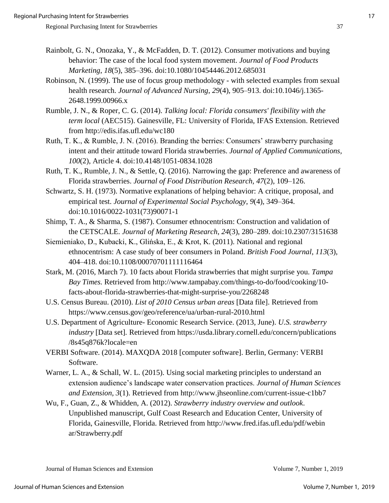- Rainbolt, G. N., Onozaka, Y., & McFadden, D. T. (2012). Consumer motivations and buying behavior: The case of the local food system movement. *Journal of Food Products Marketing*, *18*(5), 385–396. doi:10.1080/10454446.2012.685031
- Robinson, N. (1999). The use of focus group methodology with selected examples from sexual health research. *Journal of Advanced Nursing*, *29*(4), 905–913. doi:10.1046/j.1365- 2648.1999.00966.x
- Rumble, J. N., & Roper, C. G. (2014). *Talking local: Florida consumers' flexibility with the term local* (AEC515). Gainesville, FL: University of Florida, IFAS Extension. Retrieved from http://edis.ifas.ufl.edu/wc180
- Ruth, T. K., & Rumble, J. N. (2016). Branding the berries: Consumers' strawberry purchasing intent and their attitude toward Florida strawberries. *Journal of Applied Communications, 100*(2), Article 4. [doi:10.4148/1051-0834.1028](https://doi.org/10.4148/1051-0834.1028)
- Ruth, T. K., Rumble, J. N., & Settle, Q. (2016). Narrowing the gap: Preference and awareness of Florida strawberries. *Journal of Food Distribution Research, 47*(2), 109–126.
- Schwartz, S. H. (1973). Normative explanations of helping behavior: A critique, proposal, and empirical test. *Journal of Experimental Social Psychology*, *9*(4), 349–364. doi:10.1016/0022-1031(73)90071-1
- Shimp, T. A., & Sharma, S. (1987). Consumer ethnocentrism: Construction and validation of the CETSCALE. *Journal of Marketing Research*, *24*(3), 280–289. doi:10.2307/3151638
- Siemieniako, D., Kubacki, K., Glińska, E., & Krot, K. (2011). National and regional ethnocentrism: A case study of beer consumers in Poland. *British Food Journal*, *113*(3), 404–418. doi:10.1108/00070701111116464
- Stark, M. (2016, March 7). 10 facts about Florida strawberries that might surprise you. *Tampa Bay Times.* Retrieved from http://www.tampabay.com/things-to-do/food/cooking/10 facts-about-florida-strawberries-that-might-surprise-you/2268248
- U.S. Census Bureau. (2010). *List of 2010 Census urban areas* [Data file]. Retrieved from https://www.census.gov/geo/reference/ua/urban-rural-2010.html
- U.S. Department of Agriculture- Economic Research Service. (2013, June). *U.S. strawberry industry* [Data set]*.* Retrieved from https://usda.library.cornell.edu/concern/publications /8s45q876k?locale=en
- VERBI Software. (2014). MAXQDA 2018 [computer software]. Berlin, Germany: VERBI Software.
- Warner, L. A., & Schall, W. L. (2015). Using social marketing principles to understand an extension audience's landscape water conservation practices. *Journal of Human Sciences and Extension, 3*(1). Retrieved from http://www.jhseonline.com/current-issue-c1bb7
- Wu, F., Guan, Z., & Whidden, A. (2012). *Strawberry industry overview and outlook*. Unpublished manuscript, Gulf Coast Research and Education Center, University of Florida, Gainesville, Florida. Retrieved from http://www.fred.ifas.ufl.edu/pdf/webin ar/Strawberry.pdf